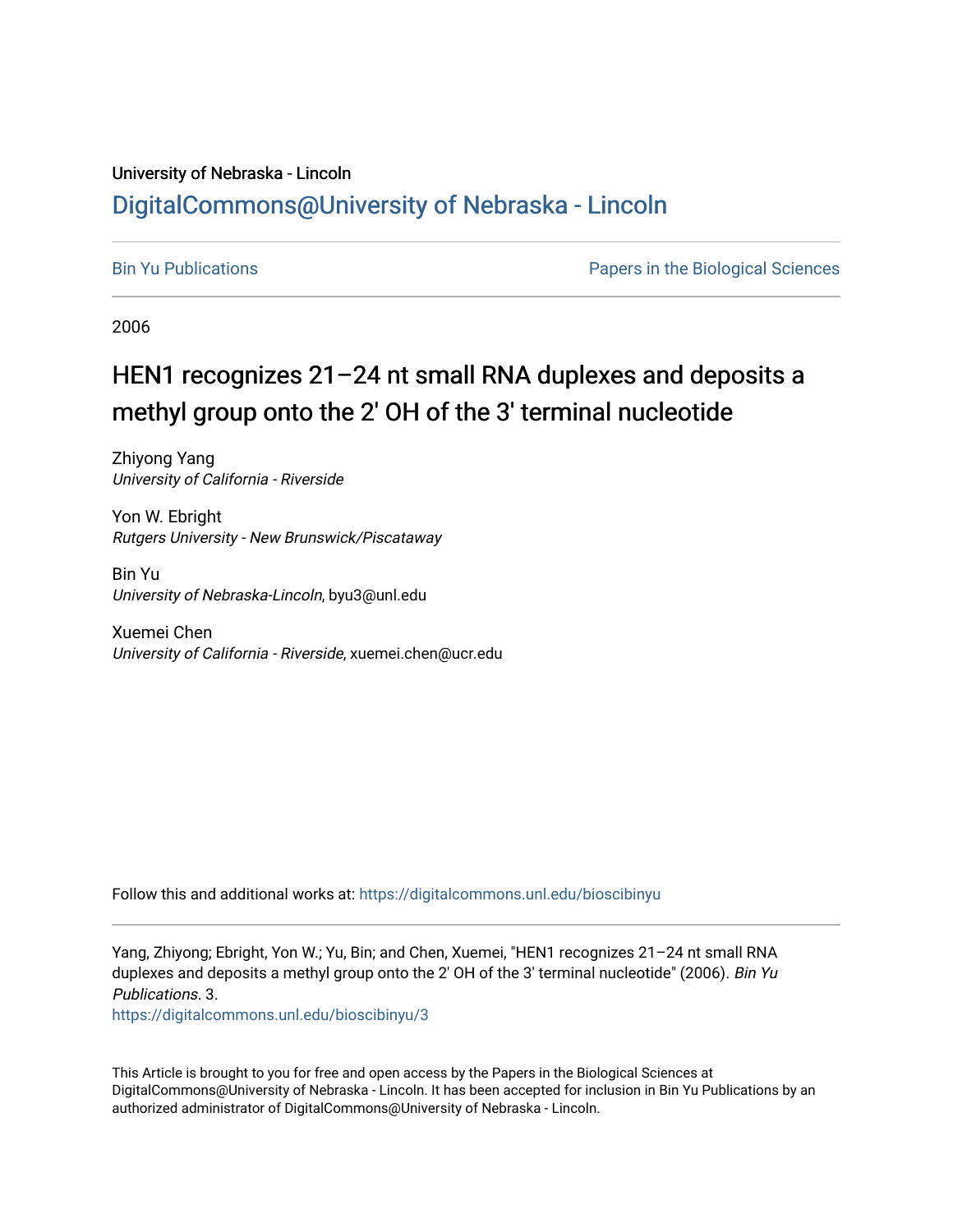# University of Nebraska - Lincoln [DigitalCommons@University of Nebraska - Lincoln](https://digitalcommons.unl.edu/)

[Bin Yu Publications](https://digitalcommons.unl.edu/bioscibinyu) [Papers in the Biological Sciences](https://digitalcommons.unl.edu/bioscipapers) 

2006

# HEN1 recognizes 21-24 nt small RNA duplexes and deposits a methyl group onto the 2' OH of the 3' terminal nucleotide

Zhiyong Yang University of California - Riverside

Yon W. Ebright Rutgers University - New Brunswick/Piscataway

Bin Yu University of Nebraska-Lincoln, byu3@unl.edu

Xuemei Chen University of California - Riverside, xuemei.chen@ucr.edu

Follow this and additional works at: [https://digitalcommons.unl.edu/bioscibinyu](https://digitalcommons.unl.edu/bioscibinyu?utm_source=digitalcommons.unl.edu%2Fbioscibinyu%2F3&utm_medium=PDF&utm_campaign=PDFCoverPages) 

Yang, Zhiyong; Ebright, Yon W.; Yu, Bin; and Chen, Xuemei, "HEN1 recognizes 21–24 nt small RNA duplexes and deposits a methyl group onto the 2' OH of the 3' terminal nucleotide" (2006). Bin Yu Publications. 3.

[https://digitalcommons.unl.edu/bioscibinyu/3](https://digitalcommons.unl.edu/bioscibinyu/3?utm_source=digitalcommons.unl.edu%2Fbioscibinyu%2F3&utm_medium=PDF&utm_campaign=PDFCoverPages) 

This Article is brought to you for free and open access by the Papers in the Biological Sciences at DigitalCommons@University of Nebraska - Lincoln. It has been accepted for inclusion in Bin Yu Publications by an authorized administrator of DigitalCommons@University of Nebraska - Lincoln.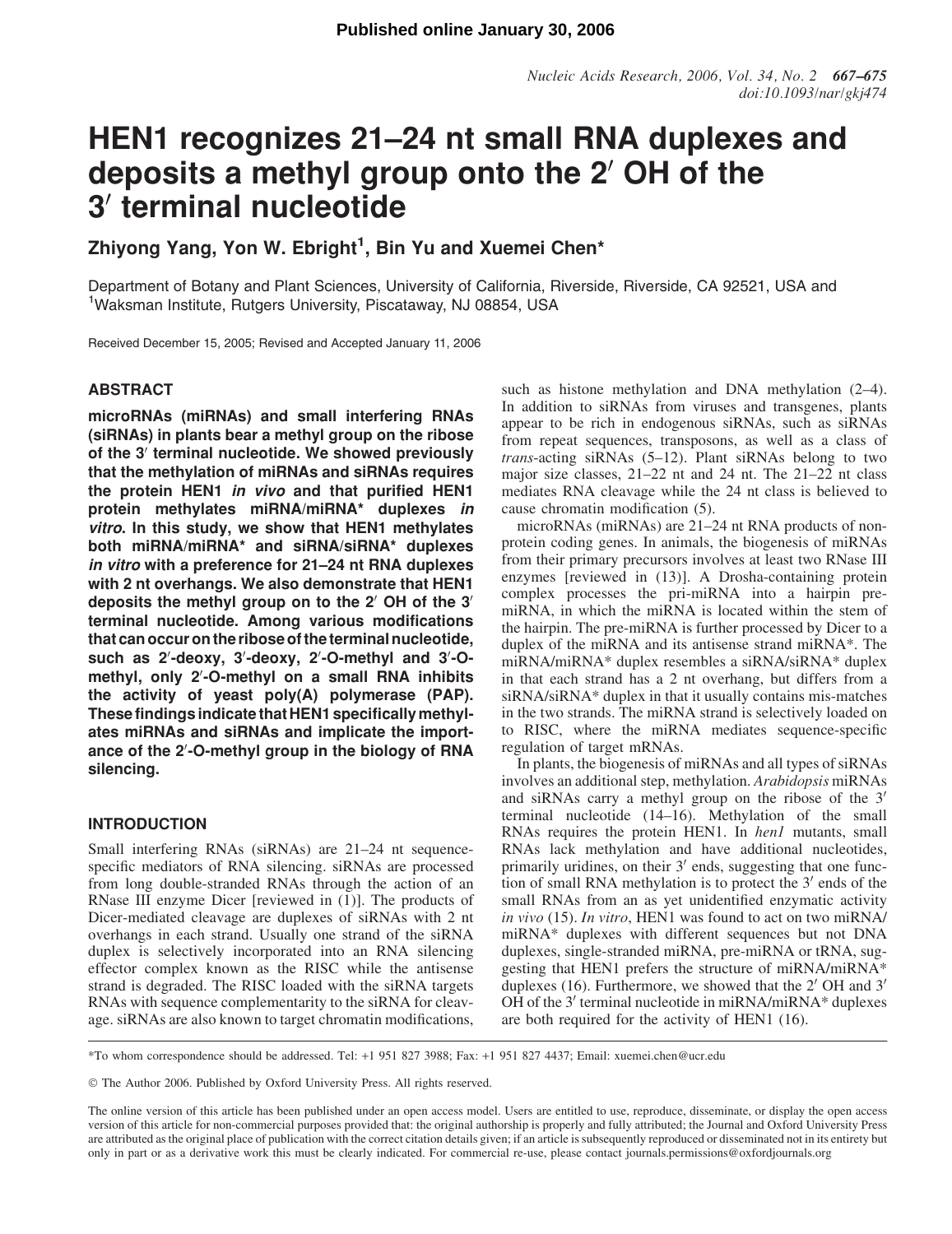# HEN1 recognizes 21–24 nt small RNA duplexes and deposits a methyl group onto the 2' OH of the 3' terminal nucleotide

Zhiyong Yang, Yon W. Ebright<sup>1</sup>, Bin Yu and Xuemei Chen\*

Department of Botany and Plant Sciences, University of California, Riverside, Riverside, CA 92521, USA and <sup>1</sup>Waksman Institute, Rutgers University, Piscataway, NJ 08854, USA

Received December 15, 2005; Revised and Accepted January 11, 2006

# ABSTRACT

microRNAs (miRNAs) and small interfering RNAs (siRNAs) in plants bear a methyl group on the ribose of the 3' terminal nucleotide. We showed previously that the methylation of miRNAs and siRNAs requires the protein HEN1 in vivo and that purified HEN1 protein methylates miRNA/miRNA\* duplexes in vitro. In this study, we show that HEN1 methylates both miRNA/miRNA\* and siRNA/siRNA\* duplexes in vitro with a preference for 21–24 nt RNA duplexes with 2 nt overhangs. We also demonstrate that HEN1 deposits the methyl group on to the  $2'$  OH of the  $3'$ terminal nucleotide. Among various modifications that can occur on the ribose of the terminal nucleotide, such as 2'-deoxy, 3'-deoxy, 2'-O-methyl and 3'-Omethyl, only 2'-O-methyl on a small RNA inhibits the activity of yeast poly(A) polymerase (PAP). These findings indicate that HEN1 specifically methylates miRNAs and siRNAs and implicate the importance of the 2'-O-methyl group in the biology of RNA silencing.

# INTRODUCTION

Small interfering RNAs (siRNAs) are 21–24 nt sequencespecific mediators of RNA silencing. siRNAs are processed from long double-stranded RNAs through the action of an RNase III enzyme Dicer [reviewed in (1)]. The products of Dicer-mediated cleavage are duplexes of siRNAs with 2 nt overhangs in each strand. Usually one strand of the siRNA duplex is selectively incorporated into an RNA silencing effector complex known as the RISC while the antisense strand is degraded. The RISC loaded with the siRNA targets RNAs with sequence complementarity to the siRNA for cleavage. siRNAs are also known to target chromatin modifications,

such as histone methylation and DNA methylation (2–4). In addition to siRNAs from viruses and transgenes, plants appear to be rich in endogenous siRNAs, such as siRNAs from repeat sequences, transposons, as well as a class of trans-acting siRNAs (5–12). Plant siRNAs belong to two major size classes, 21–22 nt and 24 nt. The 21–22 nt class mediates RNA cleavage while the 24 nt class is believed to cause chromatin modification (5).

microRNAs (miRNAs) are 21–24 nt RNA products of nonprotein coding genes. In animals, the biogenesis of miRNAs from their primary precursors involves at least two RNase III enzymes [reviewed in (13)]. A Drosha-containing protein complex processes the pri-miRNA into a hairpin premiRNA, in which the miRNA is located within the stem of the hairpin. The pre-miRNA is further processed by Dicer to a duplex of the miRNA and its antisense strand miRNA\*. The miRNA/miRNA\* duplex resembles a siRNA/siRNA\* duplex in that each strand has a 2 nt overhang, but differs from a siRNA/siRNA\* duplex in that it usually contains mis-matches in the two strands. The miRNA strand is selectively loaded on to RISC, where the miRNA mediates sequence-specific regulation of target mRNAs.

In plants, the biogenesis of miRNAs and all types of siRNAs involves an additional step, methylation. Arabidopsis miRNAs and siRNAs carry a methyl group on the ribose of the  $3'$ terminal nucleotide (14–16). Methylation of the small RNAs requires the protein HEN1. In henl mutants, small RNAs lack methylation and have additional nucleotides, primarily uridines, on their  $3'$  ends, suggesting that one function of small RNA methylation is to protect the  $3'$  ends of the small RNAs from an as yet unidentified enzymatic activity in vivo (15). In vitro, HEN1 was found to act on two miRNA/ miRNA\* duplexes with different sequences but not DNA duplexes, single-stranded miRNA, pre-miRNA or tRNA, suggesting that HEN1 prefers the structure of miRNA/miRNA\* duplexes (16). Furthermore, we showed that the  $2'$  OH and  $3'$ OH of the  $3'$  terminal nucleotide in miRNA/miRNA $*$  duplexes are both required for the activity of HEN1 (16).

\*To whom correspondence should be addressed. Tel: +1 951 827 3988; Fax: +1 951 827 4437; Email: xuemei.chen@ucr.edu

© The Author 2006. Published by Oxford University Press. All rights reserved.

The online version of this article has been published under an open access model. Users are entitled to use, reproduce, disseminate, or display the open access version of this article for non-commercial purposes provided that: the original authorship is properly and fully attributed; the Journal and Oxford University Press are attributed as the original place of publication with the correct citation details given; if an article is subsequently reproduced or disseminated not in its entirety but only in part or as a derivative work this must be clearly indicated. For commercial re-use, please contact journals.permissions@oxfordjournals.org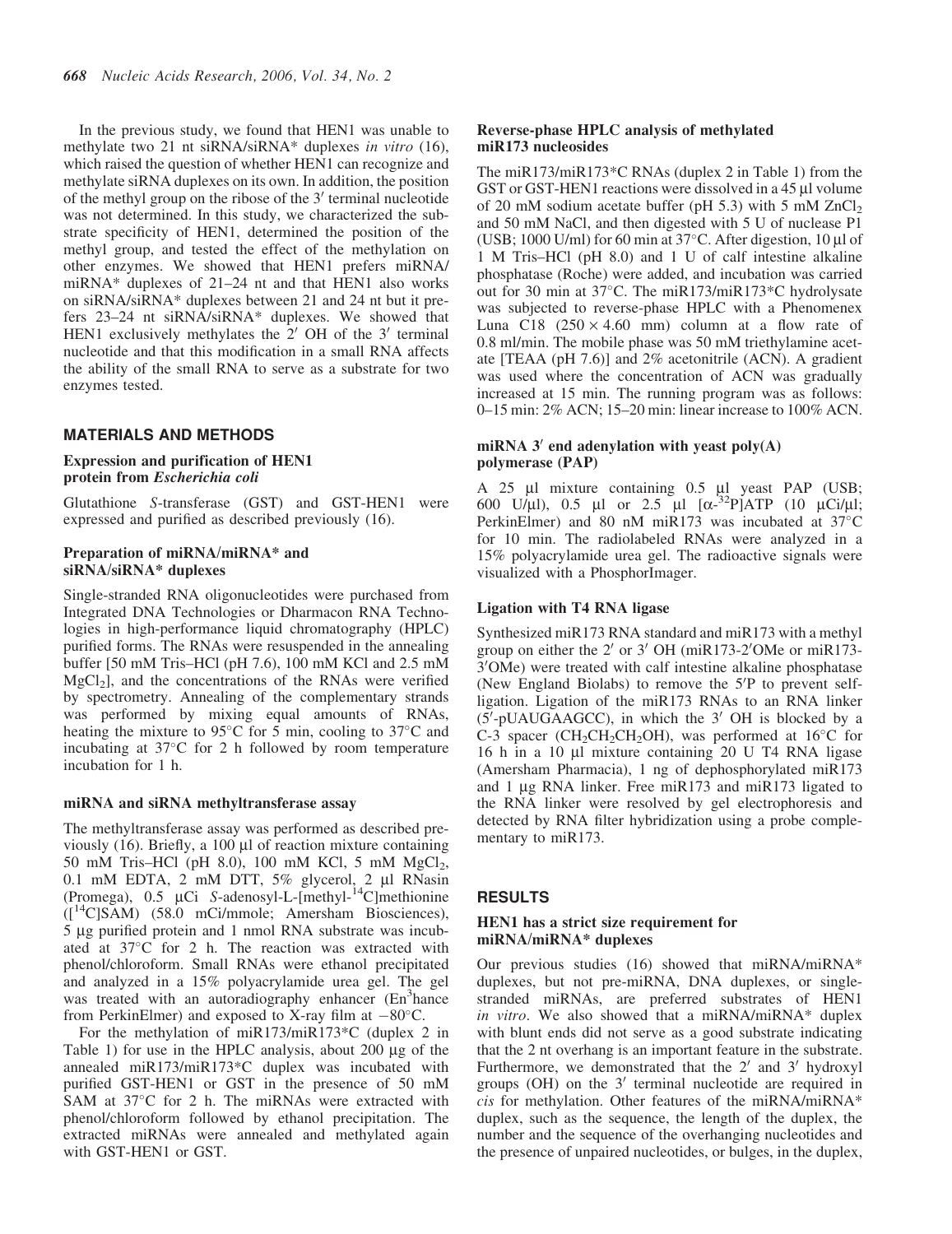In the previous study, we found that HEN1 was unable to methylate two 21 nt siRNA/siRNA\* duplexes in vitro (16), which raised the question of whether HEN1 can recognize and methylate siRNA duplexes on its own. In addition, the position of the methyl group on the ribose of the  $3'$  terminal nucleotide was not determined. In this study, we characterized the substrate specificity of HEN1, determined the position of the methyl group, and tested the effect of the methylation on other enzymes. We showed that HEN1 prefers miRNA/ miRNA\* duplexes of 21–24 nt and that HEN1 also works on siRNA/siRNA\* duplexes between 21 and 24 nt but it prefers 23–24 nt siRNA/siRNA\* duplexes. We showed that HEN1 exclusively methylates the  $2'$  OH of the  $3'$  terminal nucleotide and that this modification in a small RNA affects the ability of the small RNA to serve as a substrate for two enzymes tested.

#### MATERIALS AND METHODS

## Expression and purification of HEN1 protein from Escherichia coli

Glutathione S-transferase (GST) and GST-HEN1 were expressed and purified as described previously (16).

#### Preparation of miRNA/miRNA\* and siRNA/siRNA\* duplexes

Single-stranded RNA oligonucleotides were purchased from Integrated DNA Technologies or Dharmacon RNA Technologies in high-performance liquid chromatography (HPLC) purified forms. The RNAs were resuspended in the annealing buffer [50 mM Tris–HCl (pH 7.6), 100 mM KCl and 2.5 mM  $MgCl<sub>2</sub>$ ], and the concentrations of the RNAs were verified by spectrometry. Annealing of the complementary strands was performed by mixing equal amounts of RNAs, heating the mixture to 95 $\degree$ C for 5 min, cooling to 37 $\degree$ C and incubating at 37°C for 2 h followed by room temperature incubation for 1 h.

#### miRNA and siRNA methyltransferase assay

The methyltransferase assay was performed as described previously  $(16)$ . Briefly, a 100  $\mu$ l of reaction mixture containing 50 mM Tris–HCl (pH 8.0), 100 mM KCl, 5 mM  $MgCl<sub>2</sub>$ , 0.1 mM EDTA,  $2$  mM DTT,  $5\%$  glycerol,  $2 \mu l$  RNasin (Promega),  $0.5 \mu$ Ci S-adenosyl-L-[methyl-<sup>14</sup>C]methionine  $([$ <sup>14</sup>C]SAM) (58.0 mCi/mmole; Amersham Biosciences), 5 µg purified protein and 1 nmol RNA substrate was incubated at  $37^{\circ}$ C for 2 h. The reaction was extracted with phenol/chloroform. Small RNAs were ethanol precipitated and analyzed in a 15% polyacrylamide urea gel. The gel was treated with an autoradiography enhancer (En<sup>3</sup>hance from PerkinElmer) and exposed to X-ray film at  $-80^{\circ}$ C.

For the methylation of miR173/miR173\*C (duplex 2 in Table 1) for use in the HPLC analysis, about  $200 \mu g$  of the annealed miR173/miR173\*C duplex was incubated with purified GST-HEN1 or GST in the presence of 50 mM SAM at 37°C for 2 h. The miRNAs were extracted with phenol/chloroform followed by ethanol precipitation. The extracted miRNAs were annealed and methylated again with GST-HEN1 or GST.

#### Reverse-phase HPLC analysis of methylated miR173 nucleosides

The miR173/miR173\*C RNAs (duplex 2 in Table 1) from the GST or GST-HEN1 reactions were dissolved in a 45 µ volume of 20 mM sodium acetate buffer (pH 5.3) with 5 mM  $ZnCl<sub>2</sub>$ and 50 mM NaCl, and then digested with 5 U of nuclease P1 (USB;  $1000$  U/ml) for 60 min at 37°C. After digestion,  $10 \mu l$  of 1 M Tris–HCl (pH 8.0) and 1 U of calf intestine alkaline phosphatase (Roche) were added, and incubation was carried out for 30 min at 37°C. The miR173/miR173\*C hydrolysate was subjected to reverse-phase HPLC with a Phenomenex Luna C18  $(250 \times 4.60$  mm) column at a flow rate of 0.8 ml/min. The mobile phase was 50 mM triethylamine acetate [TEAA (pH 7.6)] and 2% acetonitrile (ACN). A gradient was used where the concentration of ACN was gradually increased at 15 min. The running program was as follows: 0–15 min: 2% ACN; 15–20 min: linear increase to 100% ACN.

## miRNA  $3'$  end adenylation with yeast poly(A) polymerase (PAP)

A 25 µl mixture containing 0.5 µl yeast PAP (USB; 600 U/µl), 0.5 µl or 2.5 µl  $[\alpha^{-32}P]ATP$  (10 µCi/µl; PerkinElmer) and 80 nM miR173 was incubated at 37°C for 10 min. The radiolabeled RNAs were analyzed in a 15% polyacrylamide urea gel. The radioactive signals were visualized with a PhosphorImager.

#### Ligation with T4 RNA ligase

Synthesized miR173 RNA standard and miR173 with a methyl group on either the  $2'$  or  $3'$  OH (miR173-2 $'$ OMe or miR173-3'OMe) were treated with calf intestine alkaline phosphatase (New England Biolabs) to remove the 5'P to prevent selfligation. Ligation of the miR173 RNAs to an RNA linker  $(5'-pUAUGAAGCC)$ , in which the 3' OH is blocked by a C-3 spacer (CH<sub>2</sub>CH<sub>2</sub>CH<sub>2</sub>OH), was performed at  $16^{\circ}$ C for 16 h in a 10 µl mixture containing 20 U T4 RNA ligase (Amersham Pharmacia), 1 ng of dephosphorylated miR173 and 1 mg RNA linker. Free miR173 and miR173 ligated to the RNA linker were resolved by gel electrophoresis and detected by RNA filter hybridization using a probe complementary to miR173.

## RESULTS

#### HEN1 has a strict size requirement for miRNA/miRNA\* duplexes

Our previous studies (16) showed that miRNA/miRNA\* duplexes, but not pre-miRNA, DNA duplexes, or singlestranded miRNAs, are preferred substrates of HEN1 in vitro. We also showed that a miRNA/miRNA\* duplex with blunt ends did not serve as a good substrate indicating that the 2 nt overhang is an important feature in the substrate. Furthermore, we demonstrated that the  $2'$  and  $3'$  hydroxyl groups (OH) on the  $3'$  terminal nucleotide are required in cis for methylation. Other features of the miRNA/miRNA\* duplex, such as the sequence, the length of the duplex, the number and the sequence of the overhanging nucleotides and the presence of unpaired nucleotides, or bulges, in the duplex,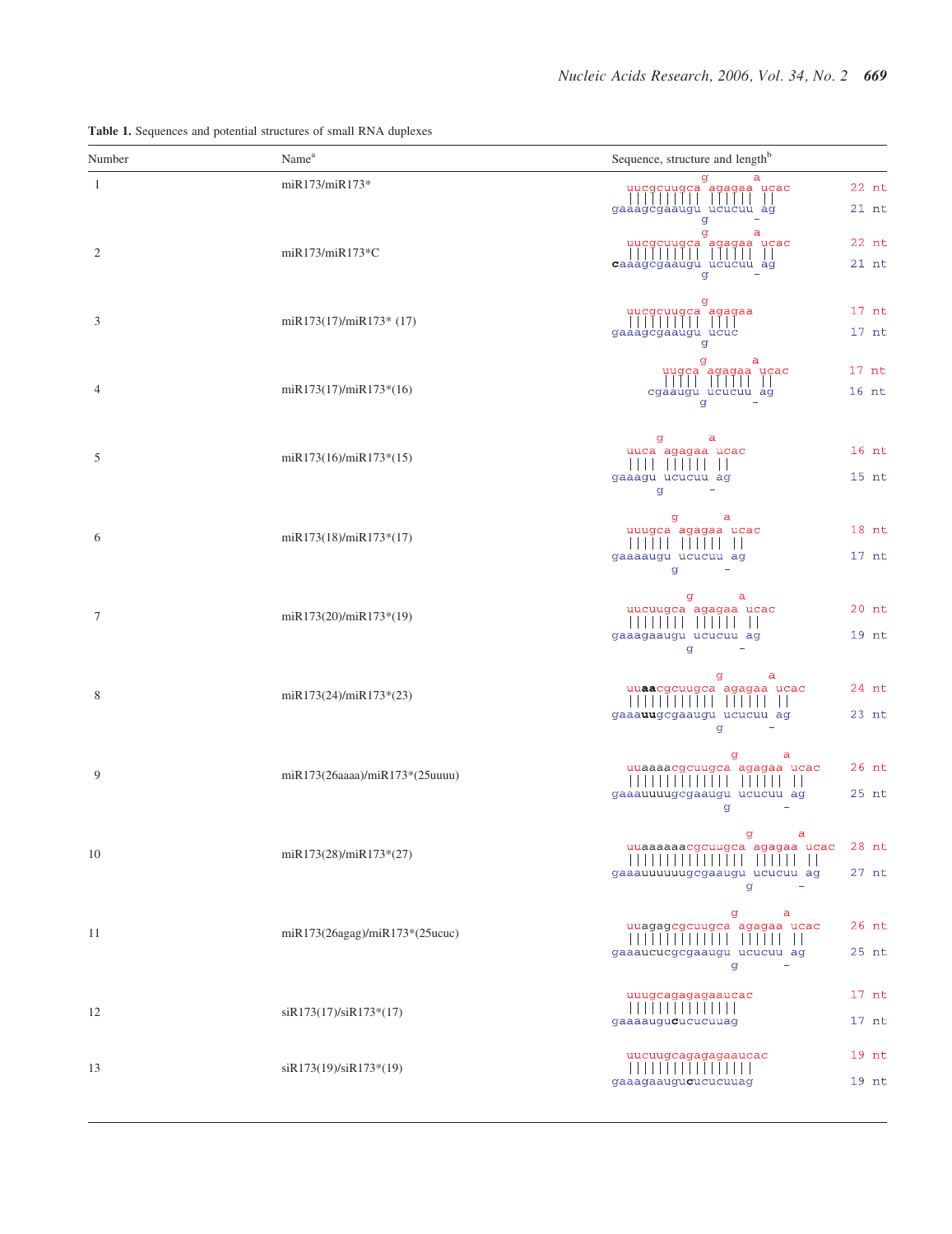| Number         | Name <sup>a</sup>              | Sequence, structure and length <sup>b</sup>                                                                                      |
|----------------|--------------------------------|----------------------------------------------------------------------------------------------------------------------------------|
| $\overline{1}$ | miR173/miR173*                 | g<br>$22$ nt<br>uucgcuugca agagaa ucac<br>                    <br>                   <br> gaaagcgaaugu ucucuu ag<br>$21$ nt<br>q |
| $\overline{2}$ | miR173/miR173*C                | g<br>a<br>$22$ nt<br>uucgcuugca agagaa ucac<br>$21$ nt<br>caaagcgaaugu ucucuu ag<br>q                                            |
| 3              | miR173(17)/miR173* (17)        | $17$ nt<br>uucgcuugca agagaa<br>               <br> gaaagcgaaugu ucuc<br>$17$ nt                                                 |
| $\overline{4}$ | miR173(17)/miR173*(16)         | g<br>а<br>$17$ nt<br>uugca agagaa ucac<br>$16$ nt<br>cgaaugu ucucuu<br>ag<br>g                                                   |
| 5              | $mR173(16)/mR173*(15)$         | g<br>a<br>$16$ nt<br>uuca agagaa ucac<br>$15$ nt<br>gaaagu ucucuu ag<br>g                                                        |
| 6              | miR173(18)/miR173*(17)         | a<br>g<br>$18$ nt<br>uuugca agagaa ucac<br>$17$ nt<br>gaaaaugu ucucuu ag<br>g                                                    |
| $\overline{7}$ | $mR173(20)/mR173*(19)$         | g<br>a<br>$20$ nt<br>uucuugca agagaa ucac<br>gaaagaaugu ucucuu ag<br>$19$ nt<br>g                                                |
| 8              | $mR173(24)/mR173*(23)$         | a<br>g<br>24 nt<br>uuaacgcuugca agagaa ucac<br>gaaauugcgaaugu ucucuu ag<br>$23$ nt<br>g                                          |
| 9              | miR173(26aaaa)/miR173*(25uuuu) | a<br>g<br>$26$ nt<br>uuaaaacgcuugca agagaa ucac<br>$25$ nt<br>gaaauuuugcgaaugu ucucuu ag<br>g                                    |
| 10             | miR173(28)/miR173*(27)         | g<br>a<br>$28$ nt<br>uuaaaaaacgcuugca agagaa ucac<br>.<br>$27$ nt<br>gaaauuuuuugcgaaugu ucucuu ag<br>g                           |
| 11             | miR173(26agag)/miR173*(25ucuc) | g<br>a<br>$26$ nt<br>uuagagcgcuugca agagaa ucac<br>25 nt<br>gaaaucucgcgaaugu ucucuu ag<br>g                                      |
| 12             | siR173(17)/siR173*(17)         | $17$ nt<br>uuugcagagagaaucac<br>111111<br>$\blacksquare$<br>gaaaaugucucucuuag<br>$17$ nt                                         |
| 13             | siR173(19)/siR173*(19)         | $19$ nt<br>uucuugcagagagaaucac<br>gaaagaaugucucucuuag<br>$19$ nt                                                                 |

Table 1. Sequences and potential structures of small RNA duplexes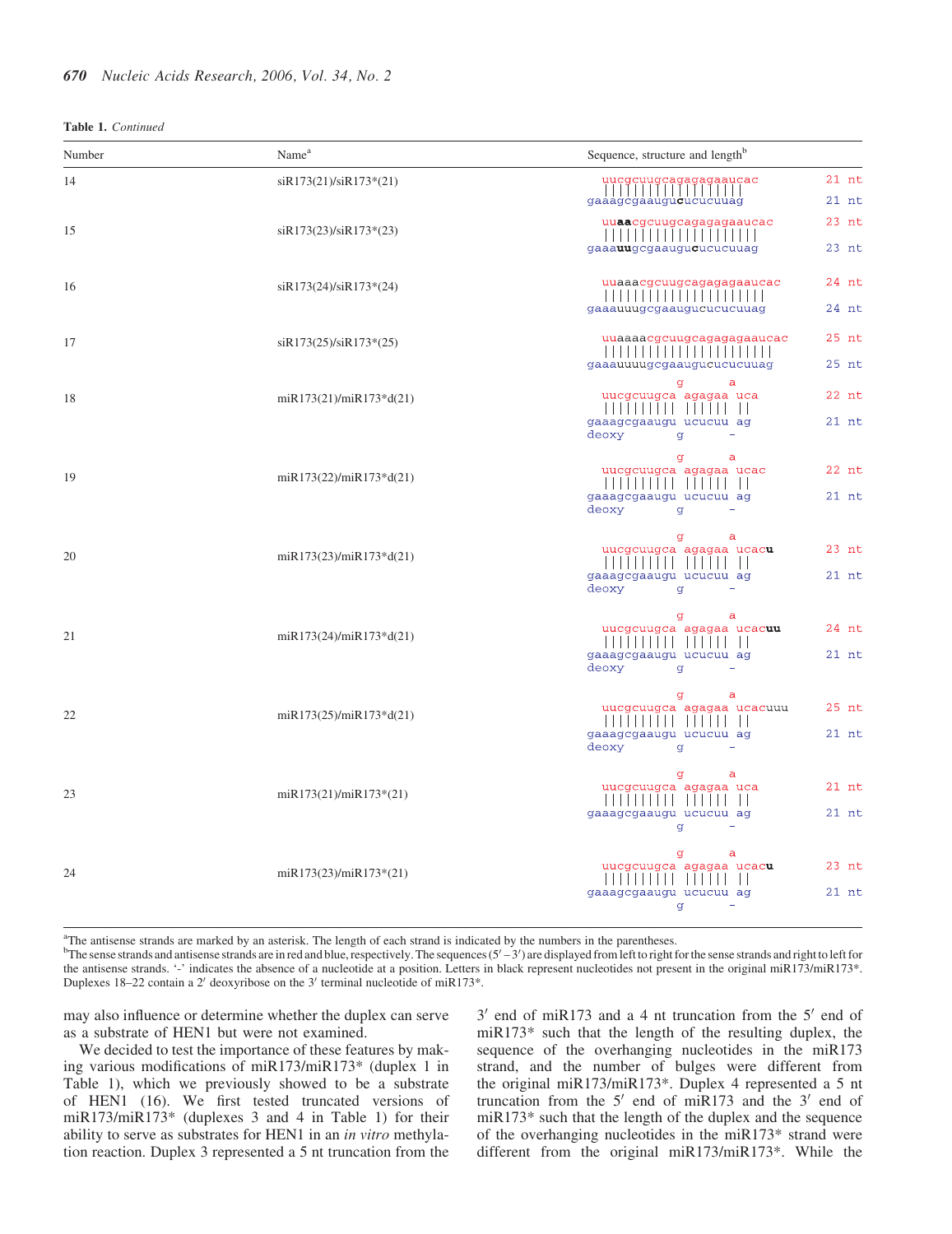| Number | Name <sup>a</sup>         | Sequence, structure and length <sup>b</sup>                                                                                             |
|--------|---------------------------|-----------------------------------------------------------------------------------------------------------------------------------------|
| 14     | siR173(21)/siR173*(21)    | $21$ nt<br>$21$ nt<br>gaaagcgaaugucucucuuag                                                                                             |
| 15     | $siR173(23)/siR173*(23)$  | $23$ nt<br>uuaacgcuugcagagagaaucac<br>gaaauugcgaaugucucucuuag<br>$23$ nt                                                                |
| 16     | $siR173(24)/siR173*(24)$  | 24 nt<br>uuaaacgcuugcagagagaaucac<br>gaaauuugcgaaugucucucuuag<br>24 nt                                                                  |
| 17     | $siR173(25)/siR173*(25)$  | 25 nt<br>uuaaaacgcuugcagagagaaucac<br>gaaauuuugcgaaugucucucuuag<br>25 nt                                                                |
| 18     | $miR173(21)/miR173*d(21)$ | g<br>$\mathsf{a}$<br>uucgcuugca agagaa uca<br>$22$ nt<br>gaaagcgaaugu ucucuu ag<br>$21$ nt<br>deoxy<br>$\sigma$                         |
| 19     | $miR173(22)/miR173*d(21)$ | a<br>g<br>$22$ nt<br>uucgcuugca agagaa ucac<br>                                     <br>gaaagcgaaugu ucucuu ag<br>$21$ nt<br>deoxy<br>q |
| 20     | miR173(23)/miR173*d(21)   | a<br>g<br>$23$ nt<br>uucgcuugca agagaa ucacu<br>.<br>gaaagcgaaugu ucucuu ag<br>$21$ nt<br>deoxy<br>q                                    |
| 21     | $miR173(24)/miR173*d(21)$ | g<br>$\mathsf{a}$<br>24 nt<br>uucgcuugca agagaa ucacuu<br>$21$ nt<br>gaaagcgaaugu ucucuu ag<br>deoxy<br>g                               |
| 22     | $miR173(25)/miR173*d(21)$ | g<br>a<br>$25$ nt<br>uucgcuugca agagaa ucacuuu<br>$21$ nt<br>gaaagcgaaugu ucucuu ag<br>deoxy<br>g                                       |
| 23     | $mR173(21)/mR173*(21)$    | g<br>a<br>uucgcuugca agagaa uca<br>$21$ nt<br>,,,,,,,,,,,,,,,<br>gaaagcgaaugu ucucuu ag<br>$21$ nt<br>g                                 |
| 24     | $mR173(23)/mR173*(21)$    | $\mathbf{a}$<br>g<br>$23$ nt<br>uucgcuugca agagaa ucacu<br>,,,,,,,,,<br>gaaagcgaaugu ucucuu ag<br>$21$ nt<br>đ                          |

<sup>a</sup>The antisense strands are marked by an asterisk. The length of each strand is indicated by the numbers in the parentheses.

Duplexes 18–22 contain a 2' deoxyribose on the 3' terminal nucleotide of miR173\*. <sup>b</sup>The sense strands and antisense strands are in red and blue, respectively. The sequences  $(5'-3')$  are displayed from left to right for the sense strands and right to left for the antisense strands. '-' indicates the absence of a nucleotide at a position. Letters in black represent nucleotides not present in the original miR173/miR173\*.

may also influence or determine whether the duplex can serve as a substrate of HEN1 but were not examined.

We decided to test the importance of these features by making various modifications of miR173/miR173\* (duplex 1 in Table 1), which we previously showed to be a substrate of HEN1 (16). We first tested truncated versions of miR173/miR173\* (duplexes 3 and 4 in Table 1) for their ability to serve as substrates for HEN1 in an in vitro methylation reaction. Duplex 3 represented a 5 nt truncation from the

 $3'$  end of miR173 and a 4 nt truncation from the  $5'$  end of miR173\* such that the length of the resulting duplex, the sequence of the overhanging nucleotides in the miR173 strand, and the number of bulges were different from the original miR173/miR173\*. Duplex 4 represented a 5 nt truncation from the  $5'$  end of miR173 and the  $3'$  end of miR173\* such that the length of the duplex and the sequence of the overhanging nucleotides in the miR173\* strand were different from the original miR173/miR173\*. While the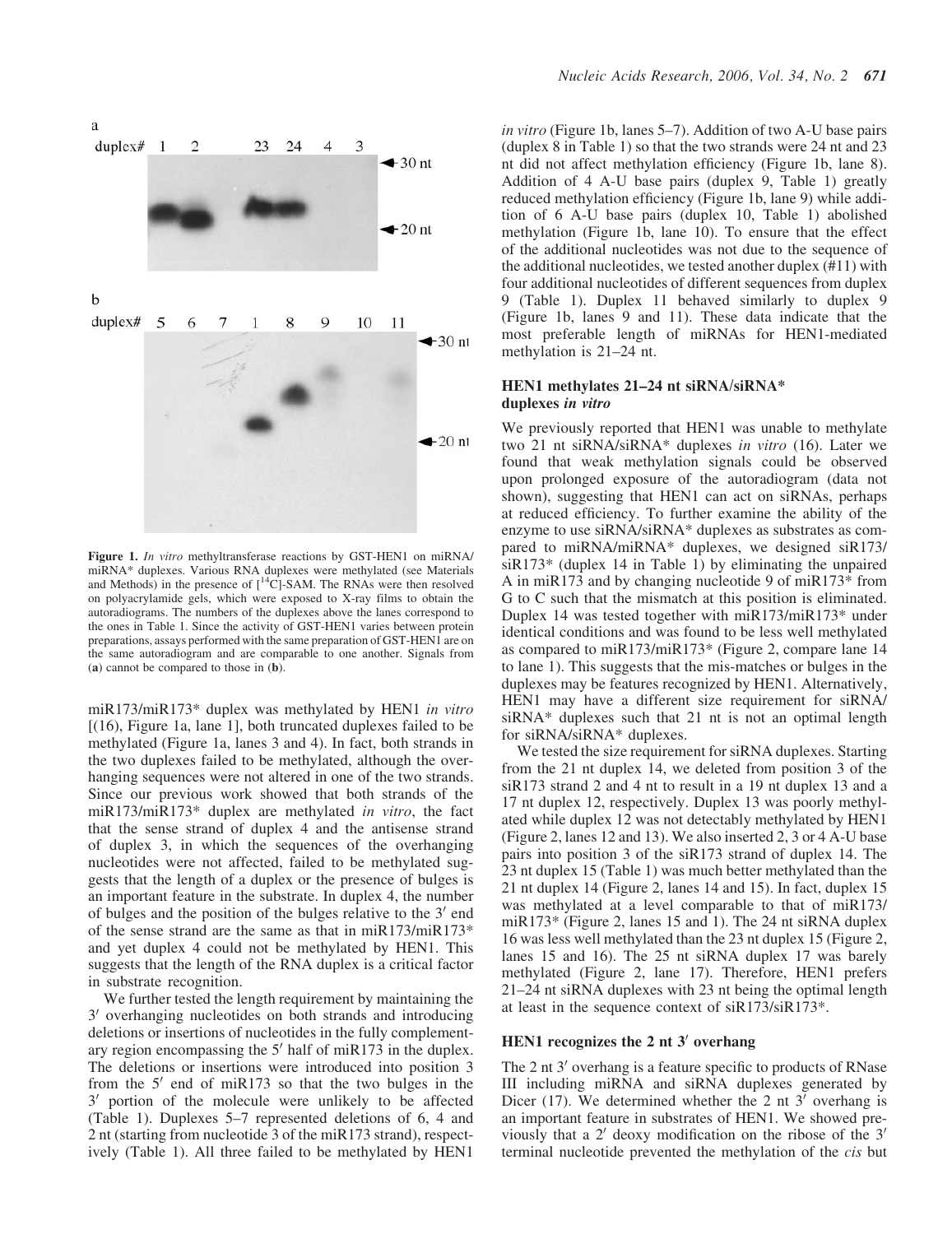

Figure 1. In vitro methyltransferase reactions by GST-HEN1 on miRNA/ miRNA\* duplexes. Various RNA duplexes were methylated (see Materials and Methods) in the presence of  $\lceil {^{14}C} \rceil$ -SAM. The RNAs were then resolved on polyacrylamide gels, which were exposed to X-ray films to obtain the autoradiograms. The numbers of the duplexes above the lanes correspond to the ones in Table 1. Since the activity of GST-HEN1 varies between protein preparations, assays performed with the same preparation of GST-HEN1 are on the same autoradiogram and are comparable to one another. Signals from (a) cannot be compared to those in (b).

miR173/miR173\* duplex was methylated by HEN1 in vitro [(16), Figure 1a, lane 1], both truncated duplexes failed to be methylated (Figure 1a, lanes 3 and 4). In fact, both strands in the two duplexes failed to be methylated, although the overhanging sequences were not altered in one of the two strands. Since our previous work showed that both strands of the miR173/miR173\* duplex are methylated in vitro, the fact that the sense strand of duplex 4 and the antisense strand of duplex 3, in which the sequences of the overhanging nucleotides were not affected, failed to be methylated suggests that the length of a duplex or the presence of bulges is an important feature in the substrate. In duplex 4, the number of bulges and the position of the bulges relative to the  $3'$  end of the sense strand are the same as that in miR173/miR173\* and yet duplex 4 could not be methylated by HEN1. This suggests that the length of the RNA duplex is a critical factor in substrate recognition.

We further tested the length requirement by maintaining the 3' overhanging nucleotides on both strands and introducing deletions or insertions of nucleotides in the fully complementary region encompassing the  $5'$  half of miR173 in the duplex. The deletions or insertions were introduced into position 3 from the  $5'$  end of miR173 so that the two bulges in the 3' portion of the molecule were unlikely to be affected (Table 1). Duplexes 5–7 represented deletions of 6, 4 and 2 nt (starting from nucleotide 3 of the miR173 strand), respectively (Table 1). All three failed to be methylated by HEN1

in vitro (Figure 1b, lanes 5–7). Addition of two A-U base pairs (duplex 8 in Table 1) so that the two strands were 24 nt and 23 nt did not affect methylation efficiency (Figure 1b, lane 8). Addition of 4 A-U base pairs (duplex 9, Table 1) greatly reduced methylation efficiency (Figure 1b, lane 9) while addition of 6 A-U base pairs (duplex 10, Table 1) abolished methylation (Figure 1b, lane 10). To ensure that the effect of the additional nucleotides was not due to the sequence of the additional nucleotides, we tested another duplex (#11) with four additional nucleotides of different sequences from duplex 9 (Table 1). Duplex 11 behaved similarly to duplex 9 (Figure 1b, lanes 9 and 11). These data indicate that the most preferable length of miRNAs for HEN1-mediated methylation is 21–24 nt.

#### HEN1 methylates 21–24 nt siRNA/siRNA\* duplexes in vitro

We previously reported that HEN1 was unable to methylate two 21 nt siRNA/siRNA\* duplexes in vitro (16). Later we found that weak methylation signals could be observed upon prolonged exposure of the autoradiogram (data not shown), suggesting that HEN1 can act on siRNAs, perhaps at reduced efficiency. To further examine the ability of the enzyme to use siRNA/siRNA\* duplexes as substrates as compared to miRNA/miRNA\* duplexes, we designed siR173/  $siR173*$  (duplex 14 in Table 1) by eliminating the unpaired A in miR173 and by changing nucleotide 9 of miR173\* from G to C such that the mismatch at this position is eliminated. Duplex 14 was tested together with miR173/miR173\* under identical conditions and was found to be less well methylated as compared to miR173/miR173\* (Figure 2, compare lane 14 to lane 1). This suggests that the mis-matches or bulges in the duplexes may be features recognized by HEN1. Alternatively, HEN1 may have a different size requirement for siRNA/ siRNA\* duplexes such that 21 nt is not an optimal length for siRNA/siRNA\* duplexes.

We tested the size requirement for siRNA duplexes. Starting from the 21 nt duplex 14, we deleted from position 3 of the siR173 strand 2 and 4 nt to result in a 19 nt duplex 13 and a 17 nt duplex 12, respectively. Duplex 13 was poorly methylated while duplex 12 was not detectably methylated by HEN1 (Figure 2, lanes 12 and 13). We also inserted 2, 3 or 4 A-U base pairs into position 3 of the siR173 strand of duplex 14. The 23 nt duplex 15 (Table 1) was much better methylated than the 21 nt duplex 14 (Figure 2, lanes 14 and 15). In fact, duplex 15 was methylated at a level comparable to that of miR173/ miR173\* (Figure 2, lanes 15 and 1). The 24 nt siRNA duplex 16 was less well methylated than the 23 nt duplex 15 (Figure 2, lanes 15 and 16). The 25 nt siRNA duplex 17 was barely methylated (Figure 2, lane 17). Therefore, HEN1 prefers 21–24 nt siRNA duplexes with 23 nt being the optimal length at least in the sequence context of siR173/siR173\*.

#### HEN1 recognizes the  $2$  nt  $3'$  overhang

The 2 nt  $3'$  overhang is a feature specific to products of RNase III including miRNA and siRNA duplexes generated by Dicer (17). We determined whether the 2 nt  $3'$  overhang is an important feature in substrates of HEN1. We showed previously that a  $2'$  deoxy modification on the ribose of the  $3'$ terminal nucleotide prevented the methylation of the cis but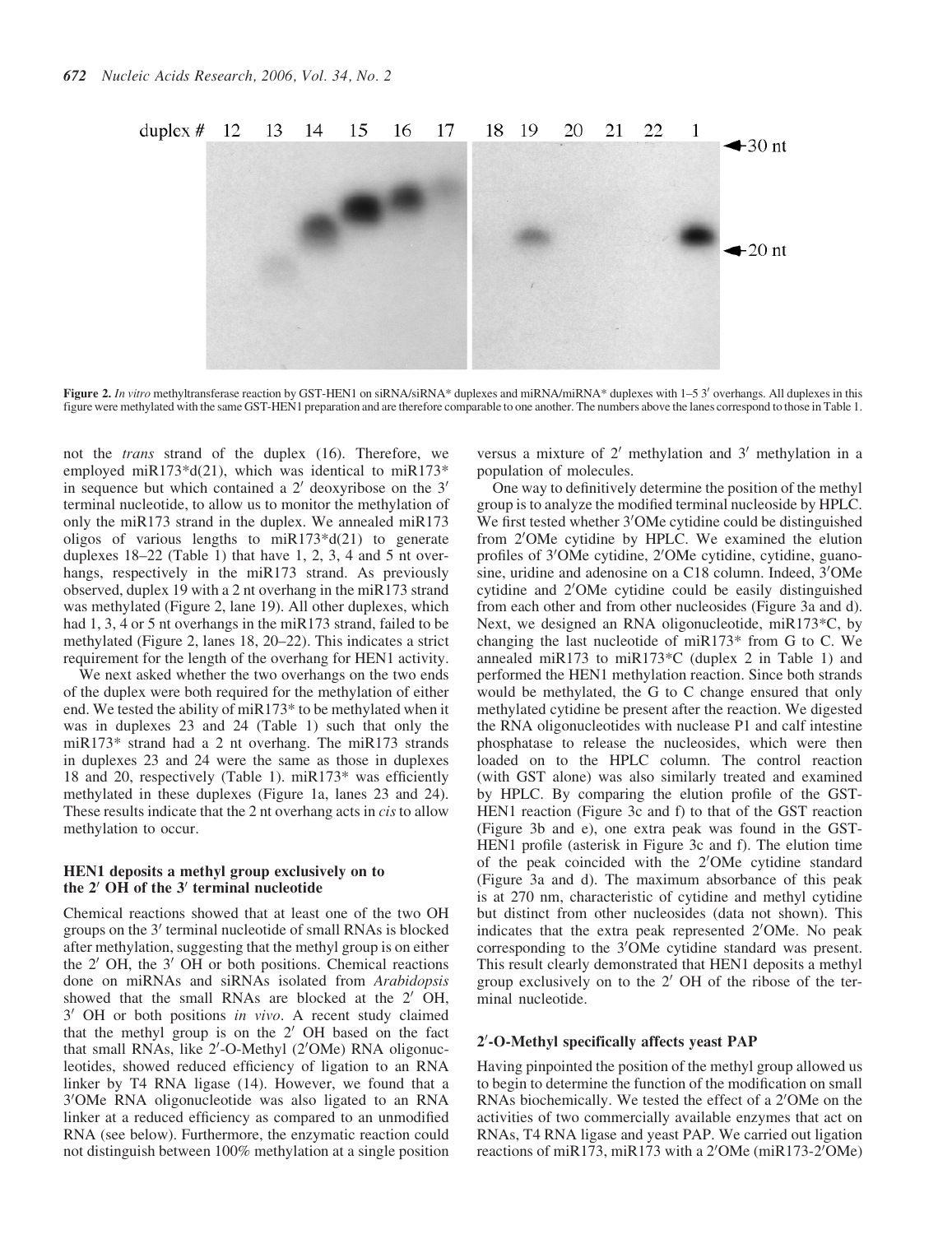

Figure 2. In vitro methyltransferase reaction by GST-HEN1 on siRNA/siRNA\* duplexes and miRNA/miRNA\* duplexes with 1–5 3' overhangs. All duplexes in this figure were methylated with the same GST-HEN1 preparation and are therefore comparable to one another. The numbers above the lanes correspond to those in Table 1.

not the trans strand of the duplex (16). Therefore, we employed miR173\*d(21), which was identical to miR173\* in sequence but which contained a  $2'$  deoxyribose on the  $3'$ terminal nucleotide, to allow us to monitor the methylation of only the miR173 strand in the duplex. We annealed miR173 oligos of various lengths to  $miR173 * d(21)$  to generate duplexes 18–22 (Table 1) that have 1, 2, 3, 4 and 5 nt overhangs, respectively in the miR173 strand. As previously observed, duplex 19 with a 2 nt overhang in the miR173 strand was methylated (Figure 2, lane 19). All other duplexes, which had 1, 3, 4 or 5 nt overhangs in the miR173 strand, failed to be methylated (Figure 2, lanes 18, 20–22). This indicates a strict requirement for the length of the overhang for HEN1 activity.

We next asked whether the two overhangs on the two ends of the duplex were both required for the methylation of either end. We tested the ability of miR173\* to be methylated when it was in duplexes 23 and 24 (Table 1) such that only the miR173\* strand had a 2 nt overhang. The miR173 strands in duplexes 23 and 24 were the same as those in duplexes 18 and 20, respectively (Table 1). miR173\* was efficiently methylated in these duplexes (Figure 1a, lanes 23 and 24). These results indicate that the 2 nt overhang acts in *cis* to allow methylation to occur.

#### HEN1 deposits a methyl group exclusively on to the  $2'$  OH of the  $3'$  terminal nucleotide

Chemical reactions showed that at least one of the two OH groups on the 3' terminal nucleotide of small RNAs is blocked after methylation, suggesting that the methyl group is on either the  $2'$  OH, the  $3'$  OH or both positions. Chemical reactions done on miRNAs and siRNAs isolated from Arabidopsis showed that the small RNAs are blocked at the  $2'$  OH, 3' OH or both positions in vivo. A recent study claimed that the methyl group is on the  $2'$  OH based on the fact that small RNAs, like 2'-O-Methyl (2'OMe) RNA oligonucleotides, showed reduced efficiency of ligation to an RNA linker by T4 RNA ligase (14). However, we found that a 3'OMe RNA oligonucleotide was also ligated to an RNA linker at a reduced efficiency as compared to an unmodified RNA (see below). Furthermore, the enzymatic reaction could not distinguish between 100% methylation at a single position versus a mixture of  $2'$  methylation and  $3'$  methylation in a population of molecules.

One way to definitively determine the position of the methyl group is to analyze the modified terminal nucleoside by HPLC. We first tested whether 3'OMe cytidine could be distinguished from 2'OMe cytidine by HPLC. We examined the elution profiles of 3'OMe cytidine, 2'OMe cytidine, cytidine, guanosine, uridine and adenosine on a C18 column. Indeed, 3'OMe cytidine and 2'OMe cytidine could be easily distinguished from each other and from other nucleosides (Figure 3a and d). Next, we designed an RNA oligonucleotide, miR173\*C, by changing the last nucleotide of miR173\* from G to C. We annealed miR173 to miR173\*C (duplex 2 in Table 1) and performed the HEN1 methylation reaction. Since both strands would be methylated, the G to C change ensured that only methylated cytidine be present after the reaction. We digested the RNA oligonucleotides with nuclease P1 and calf intestine phosphatase to release the nucleosides, which were then loaded on to the HPLC column. The control reaction (with GST alone) was also similarly treated and examined by HPLC. By comparing the elution profile of the GST-HEN1 reaction (Figure 3c and f) to that of the GST reaction (Figure 3b and e), one extra peak was found in the GST-HEN1 profile (asterisk in Figure 3c and f). The elution time of the peak coincided with the 2'OMe cytidine standard (Figure 3a and d). The maximum absorbance of this peak is at 270 nm, characteristic of cytidine and methyl cytidine but distinct from other nucleosides (data not shown). This indicates that the extra peak represented 2'OMe. No peak corresponding to the 3'OMe cytidine standard was present. This result clearly demonstrated that HEN1 deposits a methyl group exclusively on to the  $2'$  OH of the ribose of the terminal nucleotide.

# 2'-O-Methyl specifically affects yeast PAP

Having pinpointed the position of the methyl group allowed us to begin to determine the function of the modification on small RNAs biochemically. We tested the effect of a 2'OMe on the activities of two commercially available enzymes that act on RNAs, T4 RNA ligase and yeast PAP. We carried out ligation reactions of miR173, miR173 with a 2'OMe (miR173-2'OMe)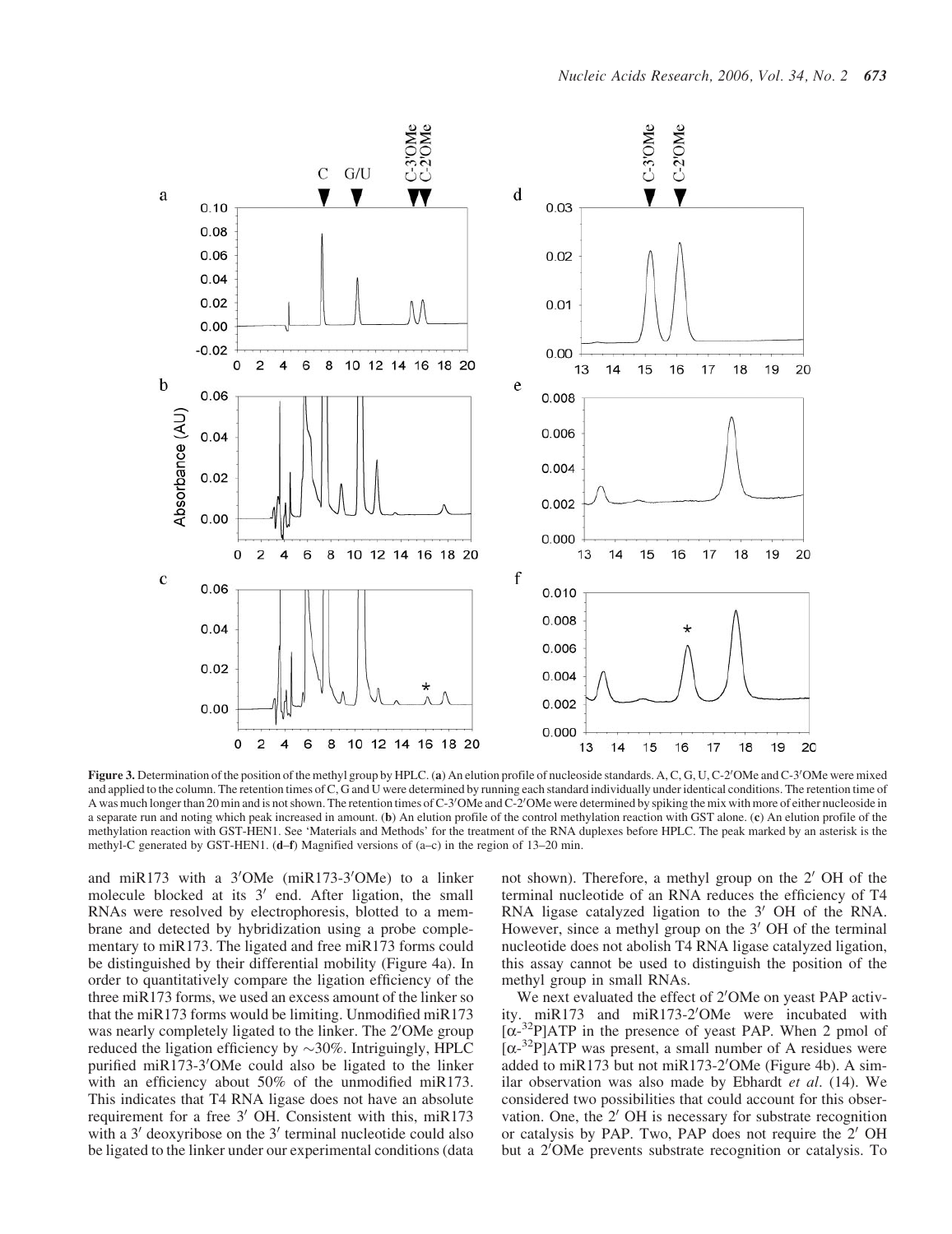

Figure 3. Determination of the position of the methyl group by HPLC. (a) An elution profile of nucleoside standards. A, C, G, U, C-2'OMe and C-3'OMe were mixed and applied to the column. The retention times of C, G and U were determined by running each standard individually under identical conditions. The retention time of A was much longer than 20 min and is not shown. The retention times of C-3'OMe and C-2'OMe were determined by spiking the mix with more of either nucleoside in a separate run and noting which peak increased in amount. (b) An elution profile of the control methylation reaction with GST alone. (c) An elution profile of the methylation reaction with GST-HEN1. See 'Materials and Methods' for the treatment of the RNA duplexes before HPLC. The peak marked by an asterisk is the methyl-C generated by GST-HEN1. (d–f) Magnified versions of (a–c) in the region of 13–20 min.

and miR173 with a  $3'OMe$  (miR173-3 $'OMe$ ) to a linker molecule blocked at its  $3'$  end. After ligation, the small RNAs were resolved by electrophoresis, blotted to a membrane and detected by hybridization using a probe complementary to miR173. The ligated and free miR173 forms could be distinguished by their differential mobility (Figure 4a). In order to quantitatively compare the ligation efficiency of the three miR173 forms, we used an excess amount of the linker so that the miR173 forms would be limiting. Unmodified miR173 was nearly completely ligated to the linker. The 2'OMe group reduced the ligation efficiency by  $\sim$ 30%. Intriguingly, HPLC purified miR173-3'OMe could also be ligated to the linker with an efficiency about 50% of the unmodified miR173. This indicates that T4 RNA ligase does not have an absolute requirement for a free  $3'$  OH. Consistent with this, miR173 with a  $3'$  deoxyribose on the  $3'$  terminal nucleotide could also be ligated to the linker under our experimental conditions (data

not shown). Therefore, a methyl group on the  $2'$  OH of the terminal nucleotide of an RNA reduces the efficiency of T4 RNA ligase catalyzed ligation to the  $3'$  OH of the RNA. However, since a methyl group on the  $3'$  OH of the terminal nucleotide does not abolish T4 RNA ligase catalyzed ligation, this assay cannot be used to distinguish the position of the methyl group in small RNAs.

We next evaluated the effect of 2'OMe on yeast PAP activity. miR173 and miR173-2'OMe were incubated with  $[\alpha^{-32}P]$ ATP in the presence of yeast PAP. When 2 pmol of  $\left[\alpha^{-32}P\right]$ ATP was present, a small number of A residues were added to miR173 but not miR173-2'OMe (Figure 4b). A similar observation was also made by Ebhardt et al. (14). We considered two possibilities that could account for this observation. One, the  $2'$  OH is necessary for substrate recognition or catalysis by PAP. Two, PAP does not require the  $2'$  OH but a 2<sup>'</sup>OMe prevents substrate recognition or catalysis. To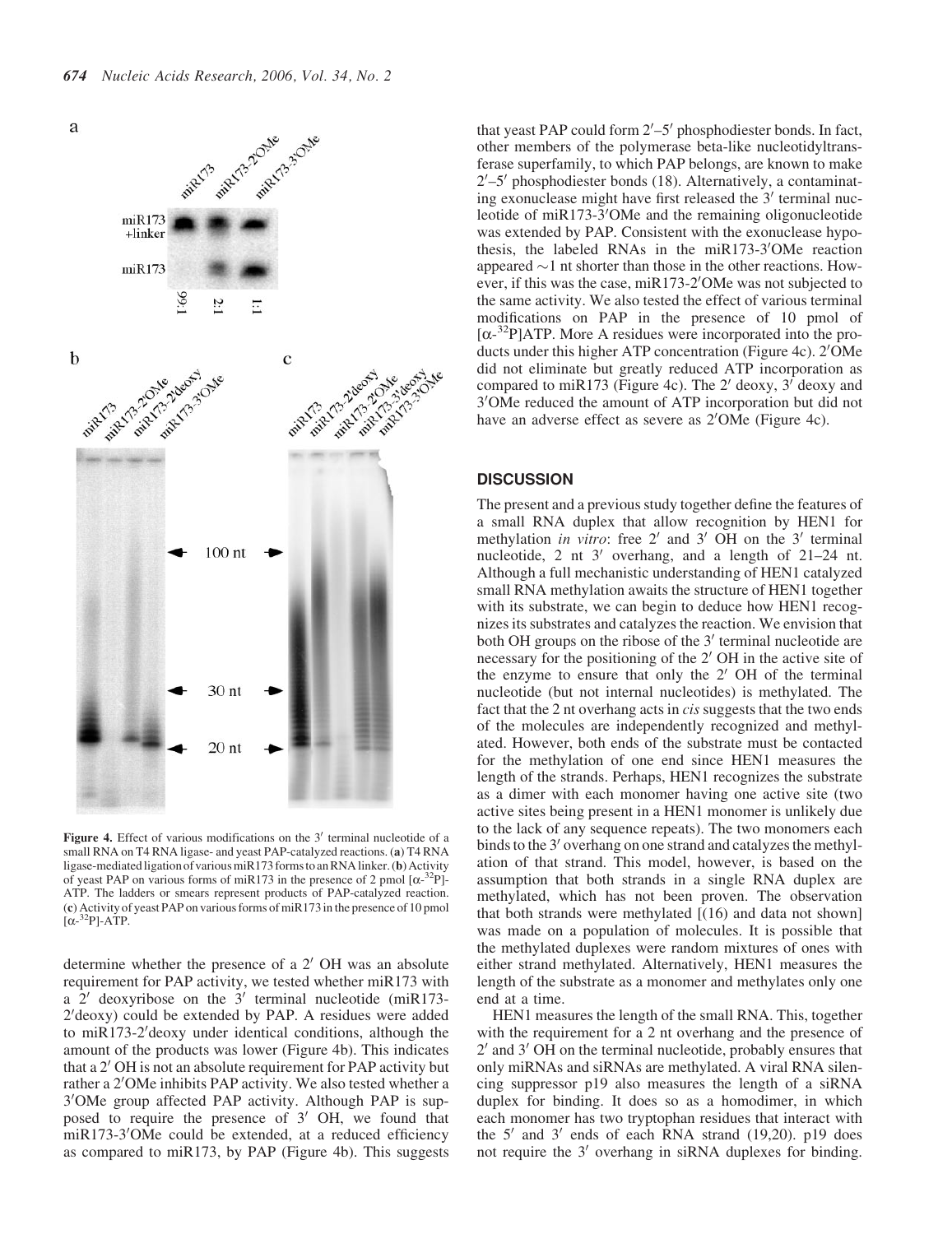

Figure 4. Effect of various modifications on the  $3'$  terminal nucleotide of a small RNA on T4 RNA ligase- and yeast PAP-catalyzed reactions. (a) T4 RNA ligase-mediated ligation of various miR173 forms to an RNA linker. (b) Activity of yeast PAP on various forms of miR173 in the presence of 2 pmol  $[\alpha^{-32}P]$ -ATP. The ladders or smears represent products of PAP-catalyzed reaction. (c) Activity of yeast PAP on various forms of miR173 in the presence of 10 pmol  $[\alpha^{-32}P]$ -ATP.

determine whether the presence of a  $2'$  OH was an absolute requirement for PAP activity, we tested whether miR173 with a  $2'$  deoxyribose on the  $3'$  terminal nucleotide (miR173-2'deoxy) could be extended by PAP. A residues were added to miR173-2' deoxy under identical conditions, although the amount of the products was lower (Figure 4b). This indicates that a  $2'$  OH is not an absolute requirement for PAP activity but rather a 2'OMe inhibits PAP activity. We also tested whether a 3'OMe group affected PAP activity. Although PAP is supposed to require the presence of  $3'$  OH, we found that miR173-3'OMe could be extended, at a reduced efficiency as compared to miR173, by PAP (Figure 4b). This suggests

that yeast PAP could form  $2'-5'$  phosphodiester bonds. In fact, other members of the polymerase beta-like nucleotidyltransferase superfamily, to which PAP belongs, are known to make 2'-5' phosphodiester bonds (18). Alternatively, a contaminating exonuclease might have first released the  $3'$  terminal nucleotide of miR173-3'OMe and the remaining oligonucleotide was extended by PAP. Consistent with the exonuclease hypothesis, the labeled RNAs in the miR173-3'OMe reaction appeared  $\sim$ 1 nt shorter than those in the other reactions. However, if this was the case, miR173-2'OMe was not subjected to the same activity. We also tested the effect of various terminal modifications on PAP in the presence of 10 pmol of  $[\alpha^{-32}P]$ ATP. More A residues were incorporated into the products under this higher ATP concentration (Figure 4c). 2'OMe did not eliminate but greatly reduced ATP incorporation as compared to miR173 (Figure 4c). The 2' deoxy,  $3^7$  deoxy and 3'OMe reduced the amount of ATP incorporation but did not have an adverse effect as severe as 2'OMe (Figure 4c).

#### **DISCUSSION**

The present and a previous study together define the features of a small RNA duplex that allow recognition by HEN1 for methylation in vitro: free  $2'$  and  $3'$  OH on the  $3'$  terminal nucleotide, 2 nt  $3'$  overhang, and a length of 21–24 nt. Although a full mechanistic understanding of HEN1 catalyzed small RNA methylation awaits the structure of HEN1 together with its substrate, we can begin to deduce how HEN1 recognizes its substrates and catalyzes the reaction. We envision that both OH groups on the ribose of the  $3'$  terminal nucleotide are necessary for the positioning of the  $2'$  OH in the active site of the enzyme to ensure that only the  $2'$  OH of the terminal nucleotide (but not internal nucleotides) is methylated. The fact that the 2 nt overhang acts in cis suggests that the two ends of the molecules are independently recognized and methylated. However, both ends of the substrate must be contacted for the methylation of one end since HEN1 measures the length of the strands. Perhaps, HEN1 recognizes the substrate as a dimer with each monomer having one active site (two active sites being present in a HEN1 monomer is unlikely due to the lack of any sequence repeats). The two monomers each binds to the 3<sup>'</sup> overhang on one strand and catalyzes the methylation of that strand. This model, however, is based on the assumption that both strands in a single RNA duplex are methylated, which has not been proven. The observation that both strands were methylated [(16) and data not shown] was made on a population of molecules. It is possible that the methylated duplexes were random mixtures of ones with either strand methylated. Alternatively, HEN1 measures the length of the substrate as a monomer and methylates only one end at a time.

HEN1 measures the length of the small RNA. This, together with the requirement for a 2 nt overhang and the presence of  $2'$  and  $3'$  OH on the terminal nucleotide, probably ensures that only miRNAs and siRNAs are methylated. A viral RNA silencing suppressor p19 also measures the length of a siRNA duplex for binding. It does so as a homodimer, in which each monomer has two tryptophan residues that interact with the  $5'$  and  $3'$  ends of each RNA strand (19,20). p19 does not require the  $3'$  overhang in siRNA duplexes for binding.